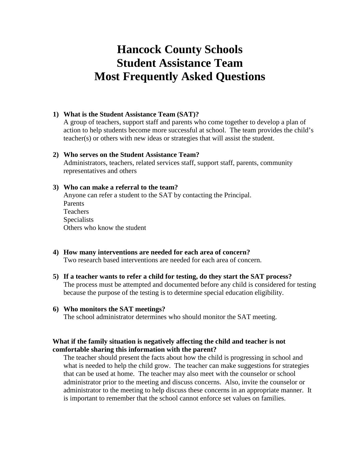# **Hancock County Schools Student Assistance Team Most Frequently Asked Questions**

## **1) What is the Student Assistance Team (SAT)?**

A group of teachers, support staff and parents who come together to develop a plan of action to help students become more successful at school. The team provides the child's teacher(s) or others with new ideas or strategies that will assist the student.

### **2) Who serves on the Student Assistance Team?**

Administrators, teachers, related services staff, support staff, parents, community representatives and others

## **3) Who can make a referral to the team?**

Anyone can refer a student to the SAT by contacting the Principal. Parents Teachers **Specialists** Others who know the student

- **4) How many interventions are needed for each area of concern?** Two research based interventions are needed for each area of concern.
- **5) If a teacher wants to refer a child for testing, do they start the SAT process?** The process must be attempted and documented before any child is considered for testing because the purpose of the testing is to determine special education eligibility.

#### **6) Who monitors the SAT meetings?**

The school administrator determines who should monitor the SAT meeting.

## **What if the family situation is negatively affecting the child and teacher is not comfortable sharing this information with the parent?**

The teacher should present the facts about how the child is progressing in school and what is needed to help the child grow. The teacher can make suggestions for strategies that can be used at home. The teacher may also meet with the counselor or school administrator prior to the meeting and discuss concerns. Also, invite the counselor or administrator to the meeting to help discuss these concerns in an appropriate manner. It is important to remember that the school cannot enforce set values on families.